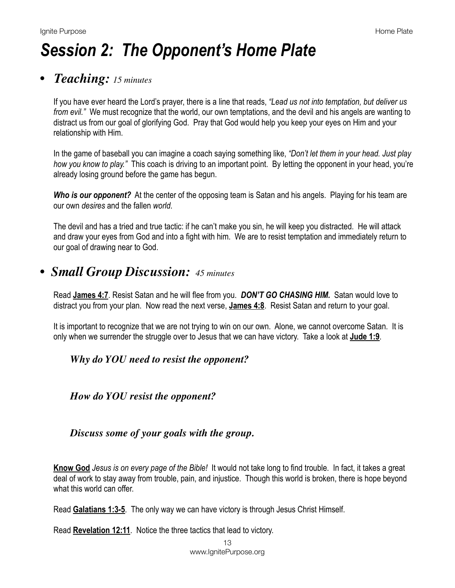# *Session 2: The Opponent's Home Plate*

#### *• Teaching: 15 minutes*

If you have ever heard the Lord's prayer, there is a line that reads, *"Lead us not into temptation, but deliver us from evil."* We must recognize that the world, our own temptations, and the devil and his angels are wanting to distract us from our goal of glorifying God. Pray that God would help you keep your eyes on Him and your relationship with Him.

In the game of baseball you can imagine a coach saying something like, *"Don't let them in your head. Just play how you know to play."* This coach is driving to an important point. By letting the opponent in your head, you're already losing ground before the game has begun.

*Who is our opponent?* At the center of the opposing team is Satan and his angels. Playing for his team are our own *desires* and the fallen *world*.

The devil and has a tried and true tactic: if he can't make you sin, he will keep you distracted. He will attack and draw your eyes from God and into a fight with him. We are to resist temptation and immediately return to our goal of drawing near to God.

### *• Small Group Discussion: 45 minutes*

Read **[James 4:7](https://www.biblegateway.com/passage/?search=James+4:7&version=NIV)**. Resist Satan and he will flee from you. *DON'T GO CHASING HIM.* Satan would love to distract you from your plan. Now read the next verse, **[James 4:8](https://www.biblegateway.com/passage/?search=James+4:8&version=NIV)**. Resist Satan and return to your goal.

It is important to recognize that we are not trying to win on our own. Alone, we cannot overcome Satan. It is only when we surrender the struggle over to Jesus that we can have victory. Take a look at **[Jude 1:9](https://www.biblegateway.com/passage/?search=Jude+1:9&version=NIV)**.

#### *Why do YOU need to resist the opponent?*

*How do YOU resist the opponent?*

#### *Discuss some of your goals with the group.*

**Know God** *Jesus is on every page of the Bible!* It would not take long to find trouble. In fact, it takes a great deal of work to stay away from trouble, pain, and injustice. Though this world is broken, there is hope beyond what this world can offer.

Read **[Galatians 1:3-5](https://www.biblegateway.com/passage/?search=Galatians+1:3-5&version=NIV)**. The only way we can have victory is through Jesus Christ Himself.

Read **[Revelation 12:11](https://www.biblegateway.com/passage/?search=Revelation+12:11&version=NIV)**. Notice the three tactics that lead to victory.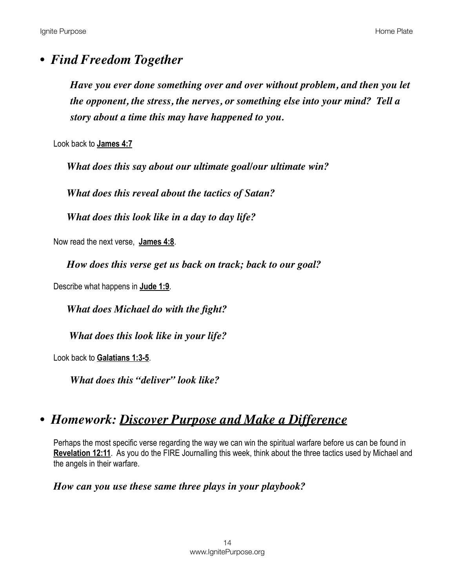#### *• Find Freedom Together*

*Have you ever done something over and over without problem, and then you let the opponent, the stress, the nerves, or something else into your mind? Tell a story about a time this may have happened to you.*

Look back to **[James 4:7](https://www.biblegateway.com/passage/?search=James+4:7&version=NIV)**

*What does this say about our ultimate goal/our ultimate win?* 

*What does this reveal about the tactics of Satan?* 

*What does this look like in a day to day life?*

Now read the next verse, **[James 4:8](https://www.biblegateway.com/passage/?search=James+4:8&version=NIV)**.

*How does this verse get us back on track; back to our goal?*

Describe what happens in **[Jude 1:9](https://www.biblegateway.com/passage/?search=Jude+1:9&version=NIV)**.

*What does Michael do with the fight?* 

 *What does this look like in your life?*

Look back to **[Galatians 1:3-5](https://www.biblegateway.com/passage/?search=Galatians+1:3-5&version=NIV)**.

*What does this "deliver" look like?*

## *• Homework: Discover Purpose and Make a Difference*

Perhaps the most specific verse regarding the way we can win the spiritual warfare before us can be found in **[Revelation 12:11](https://www.biblegateway.com/passage/?search=Revelation+12:11&version=NIV)**. As you do the FIRE Journalling this week, think about the three tactics used by Michael and the angels in their warfare.

*How can you use these same three plays in your playbook?*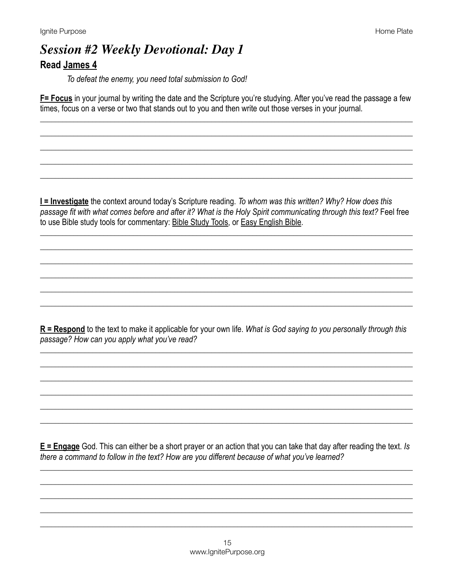## **Session #2 Weekly Devotional: Day 1 Read James 4**

To defeat the enemy, you need total submission to God!

F= Focus in your journal by writing the date and the Scripture you're studying. After you've read the passage a few times, focus on a verse or two that stands out to you and then write out those verses in your journal.

I = Investigate the context around today's Scripture reading. To whom was this written? Why? How does this passage fit with what comes before and after it? What is the Holy Spirit communicating through this text? Feel free to use Bible study tools for commentary: Bible Study Tools, or Easy English Bible.

 $R$  = Respond to the text to make it applicable for your own life. What is God saying to you personally through this passage? How can you apply what you've read?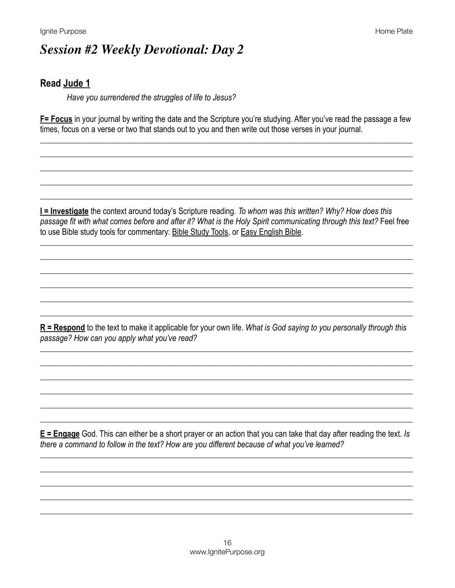# **Session #2 Weekly Devotional: Day 2**

#### **Read Jude 1**

Have you surrendered the struggles of life to Jesus?

F= Focus in your journal by writing the date and the Scripture you're studying. After you've read the passage a few times, focus on a verse or two that stands out to you and then write out those verses in your journal.

I = Investigate the context around today's Scripture reading. To whom was this written? Why? How does this passage fit with what comes before and after it? What is the Holy Spirit communicating through this text? Feel free to use Bible study tools for commentary: Bible Study Tools, or Easy English Bible.

 $R$  = Respond to the text to make it applicable for your own life. What is God saying to you personally through this passage? How can you apply what you've read?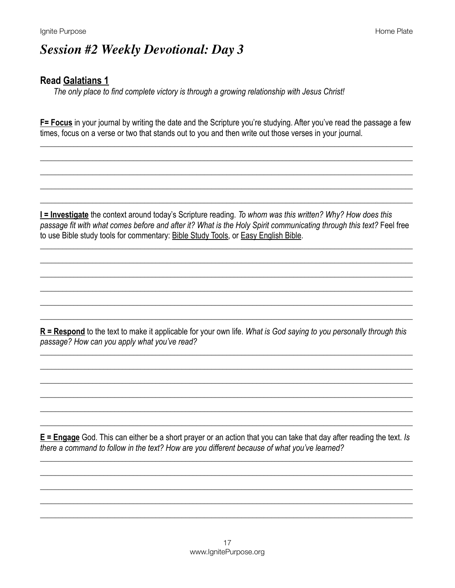# **Session #2 Weekly Devotional: Day 3**

#### **Read Galatians 1**

The only place to find complete victory is through a growing relationship with Jesus Christ!

F= Focus in your journal by writing the date and the Scripture you're studying. After you've read the passage a few times, focus on a verse or two that stands out to you and then write out those verses in your journal.

I = Investigate the context around today's Scripture reading. To whom was this written? Why? How does this passage fit with what comes before and after it? What is the Holy Spirit communicating through this text? Feel free to use Bible study tools for commentary: Bible Study Tools, or Easy English Bible.

 $R =$ Respond to the text to make it applicable for your own life. What is God saying to you personally through this passage? How can you apply what you've read?